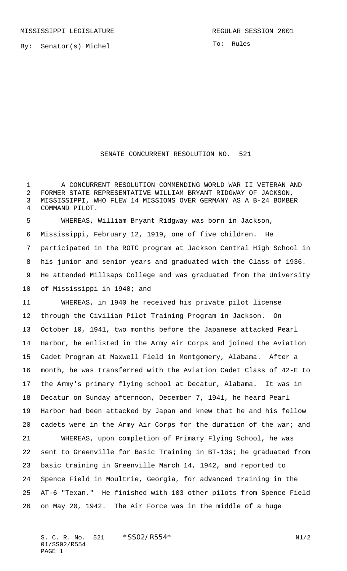By: Senator(s) Michel

To: Rules

## SENATE CONCURRENT RESOLUTION NO. 521

 A CONCURRENT RESOLUTION COMMENDING WORLD WAR II VETERAN AND FORMER STATE REPRESENTATIVE WILLIAM BRYANT RIDGWAY OF JACKSON, MISSISSIPPI, WHO FLEW 14 MISSIONS OVER GERMANY AS A B-24 BOMBER COMMAND PILOT.

 WHEREAS, William Bryant Ridgway was born in Jackson, Mississippi, February 12, 1919, one of five children. He participated in the ROTC program at Jackson Central High School in his junior and senior years and graduated with the Class of 1936. He attended Millsaps College and was graduated from the University of Mississippi in 1940; and

 WHEREAS, in 1940 he received his private pilot license through the Civilian Pilot Training Program in Jackson. On October 10, 1941, two months before the Japanese attacked Pearl Harbor, he enlisted in the Army Air Corps and joined the Aviation Cadet Program at Maxwell Field in Montgomery, Alabama. After a month, he was transferred with the Aviation Cadet Class of 42-E to the Army's primary flying school at Decatur, Alabama. It was in Decatur on Sunday afternoon, December 7, 1941, he heard Pearl Harbor had been attacked by Japan and knew that he and his fellow cadets were in the Army Air Corps for the duration of the war; and WHEREAS, upon completion of Primary Flying School, he was sent to Greenville for Basic Training in BT-13s; he graduated from basic training in Greenville March 14, 1942, and reported to Spence Field in Moultrie, Georgia, for advanced training in the AT-6 "Texan." He finished with 103 other pilots from Spence Field on May 20, 1942. The Air Force was in the middle of a huge

S. C. R. No. \*SS02/R554\* N1/2 01/SS02/R554 PAGE 1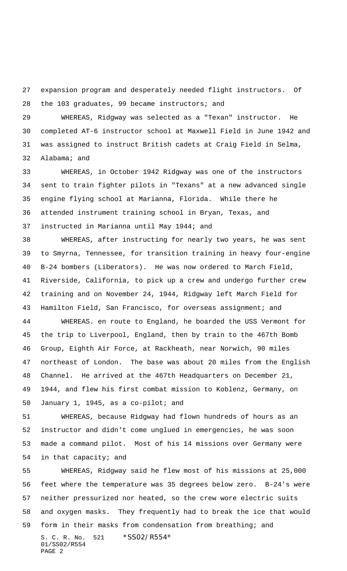expansion program and desperately needed flight instructors. Of the 103 graduates, 99 became instructors; and

 WHEREAS, Ridgway was selected as a "Texan" instructor. He completed AT-6 instructor school at Maxwell Field in June 1942 and was assigned to instruct British cadets at Craig Field in Selma, Alabama; and

 WHEREAS, in October 1942 Ridgway was one of the instructors sent to train fighter pilots in "Texans" at a new advanced single engine flying school at Marianna, Florida. While there he attended instrument training school in Bryan, Texas, and instructed in Marianna until May 1944; and

 WHEREAS, after instructing for nearly two years, he was sent to Smyrna, Tennessee, for transition training in heavy four-engine B-24 bombers (Liberators). He was now ordered to March Field, Riverside, California, to pick up a crew and undergo further crew training and on November 24, 1944, Ridgway left March Field for Hamilton Field, San Francisco, for overseas assignment; and

 WHEREAS. en route to England, he boarded the USS Vermont for the trip to Liverpool, England, then by train to the 467th Bomb Group, Eighth Air Force, at Rackheath, near Norwich, 90 miles northeast of London. The base was about 20 miles from the English Channel. He arrived at the 467th Headquarters on December 21, 1944, and flew his first combat mission to Koblenz, Germany, on January 1, 1945, as a co-pilot; and

 WHEREAS, because Ridgway had flown hundreds of hours as an instructor and didn't come unglued in emergencies, he was soon made a command pilot. Most of his 14 missions over Germany were in that capacity; and

S. C. R. No. 521 \* SS02/R554\* 01/SS02/R554 PAGE 2 WHEREAS, Ridgway said he flew most of his missions at 25,000 feet where the temperature was 35 degrees below zero. B-24's were neither pressurized nor heated, so the crew wore electric suits and oxygen masks. They frequently had to break the ice that would form in their masks from condensation from breathing; and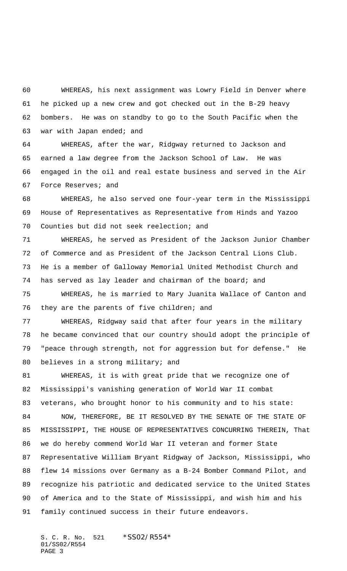WHEREAS, his next assignment was Lowry Field in Denver where he picked up a new crew and got checked out in the B-29 heavy bombers. He was on standby to go to the South Pacific when the war with Japan ended; and

 WHEREAS, after the war, Ridgway returned to Jackson and earned a law degree from the Jackson School of Law. He was engaged in the oil and real estate business and served in the Air Force Reserves; and

 WHEREAS, he also served one four-year term in the Mississippi House of Representatives as Representative from Hinds and Yazoo Counties but did not seek reelection; and

 WHEREAS, he served as President of the Jackson Junior Chamber of Commerce and as President of the Jackson Central Lions Club. He is a member of Galloway Memorial United Methodist Church and has served as lay leader and chairman of the board; and

 WHEREAS, he is married to Mary Juanita Wallace of Canton and they are the parents of five children; and

 WHEREAS, Ridgway said that after four years in the military he became convinced that our country should adopt the principle of "peace through strength, not for aggression but for defense." He 80 believes in a strong military; and

 WHEREAS, it is with great pride that we recognize one of Mississippi's vanishing generation of World War II combat veterans, who brought honor to his community and to his state: NOW, THEREFORE, BE IT RESOLVED BY THE SENATE OF THE STATE OF MISSISSIPPI, THE HOUSE OF REPRESENTATIVES CONCURRING THEREIN, That we do hereby commend World War II veteran and former State Representative William Bryant Ridgway of Jackson, Mississippi, who flew 14 missions over Germany as a B-24 Bomber Command Pilot, and recognize his patriotic and dedicated service to the United States of America and to the State of Mississippi, and wish him and his family continued success in their future endeavors.

S. C. R. No. 521 \* SS02/R554\* 01/SS02/R554 PAGE 3